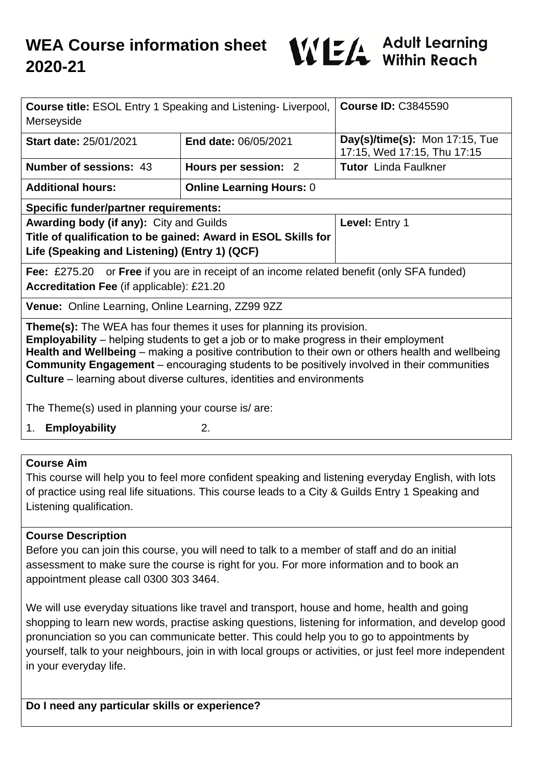

| <b>Course title: ESOL Entry 1 Speaking and Listening-Liverpool,</b><br>Merseyside                                                                                                                                                                                                                                                                                                                                                                                       |                                 | <b>Course ID: C3845590</b>                                    |
|-------------------------------------------------------------------------------------------------------------------------------------------------------------------------------------------------------------------------------------------------------------------------------------------------------------------------------------------------------------------------------------------------------------------------------------------------------------------------|---------------------------------|---------------------------------------------------------------|
| <b>Start date: 25/01/2021</b>                                                                                                                                                                                                                                                                                                                                                                                                                                           | End date: 06/05/2021            | Day(s)/time(s): Mon 17:15, Tue<br>17:15, Wed 17:15, Thu 17:15 |
| <b>Number of sessions: 43</b>                                                                                                                                                                                                                                                                                                                                                                                                                                           | Hours per session: 2            | <b>Tutor</b> Linda Faulkner                                   |
| <b>Additional hours:</b>                                                                                                                                                                                                                                                                                                                                                                                                                                                | <b>Online Learning Hours: 0</b> |                                                               |
| <b>Specific funder/partner requirements:</b>                                                                                                                                                                                                                                                                                                                                                                                                                            |                                 |                                                               |
| Awarding body (if any): City and Guilds                                                                                                                                                                                                                                                                                                                                                                                                                                 |                                 | Level: Entry 1                                                |
| Title of qualification to be gained: Award in ESOL Skills for<br>Life (Speaking and Listening) (Entry 1) (QCF)                                                                                                                                                                                                                                                                                                                                                          |                                 |                                                               |
| or Free if you are in receipt of an income related benefit (only SFA funded)<br>Fee: $£275.20$<br><b>Accreditation Fee (if applicable): £21.20</b>                                                                                                                                                                                                                                                                                                                      |                                 |                                                               |
| <b>Venue:</b> Online Learning, Online Learning, ZZ99 9ZZ                                                                                                                                                                                                                                                                                                                                                                                                                |                                 |                                                               |
| <b>Theme(s):</b> The WEA has four themes it uses for planning its provision.<br><b>Employability</b> – helping students to get a job or to make progress in their employment<br>Health and Wellbeing – making a positive contribution to their own or others health and wellbeing<br><b>Community Engagement</b> – encouraging students to be positively involved in their communities<br><b>Culture</b> – learning about diverse cultures, identities and environments |                                 |                                                               |
| The Theme(s) used in planning your course is/ are:                                                                                                                                                                                                                                                                                                                                                                                                                      |                                 |                                                               |
| <b>Employability</b><br>1.                                                                                                                                                                                                                                                                                                                                                                                                                                              | 2.                              |                                                               |
|                                                                                                                                                                                                                                                                                                                                                                                                                                                                         |                                 |                                                               |
| <b>Course Aim</b>                                                                                                                                                                                                                                                                                                                                                                                                                                                       |                                 |                                                               |

This course will help you to feel more confident speaking and listening everyday English, with lots of practice using real life situations. This course leads to a City & Guilds Entry 1 Speaking and Listening qualification.

#### **Course Description**

Before you can join this course, you will need to talk to a member of staff and do an initial assessment to make sure the course is right for you. For more information and to book an appointment please call 0300 303 3464.

We will use everyday situations like travel and transport, house and home, health and going shopping to learn new words, practise asking questions, listening for information, and develop good pronunciation so you can communicate better. This could help you to go to appointments by yourself, talk to your neighbours, join in with local groups or activities, or just feel more independent in your everyday life.

**Do I need any particular skills or experience?**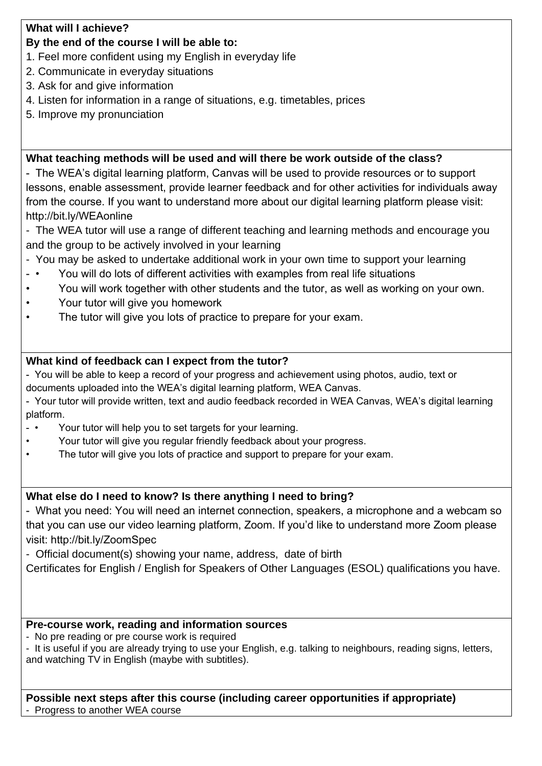### **What will I achieve?**

# **By the end of the course I will be able to:**

- 1. Feel more confident using my English in everyday life
- 2. Communicate in everyday situations
- 3. Ask for and give information
- 4. Listen for information in a range of situations, e.g. timetables, prices
- 5. Improve my pronunciation

# **What teaching methods will be used and will there be work outside of the class?**

- The WEA's digital learning platform, Canvas will be used to provide resources or to support lessons, enable assessment, provide learner feedback and for other activities for individuals away from the course. If you want to understand more about our digital learning platform please visit: http://bit.ly/WEAonline

- The WEA tutor will use a range of different teaching and learning methods and encourage you and the group to be actively involved in your learning
- You may be asked to undertake additional work in your own time to support your learning
- You will do lots of different activities with examples from real life situations
- You will work together with other students and the tutor, as well as working on your own.
- Your tutor will give you homework
- The tutor will give you lots of practice to prepare for your exam.

# **What kind of feedback can I expect from the tutor?**

- You will be able to keep a record of your progress and achievement using photos, audio, text or documents uploaded into the WEA's digital learning platform, WEA Canvas.

- Your tutor will provide written, text and audio feedback recorded in WEA Canvas, WEA's digital learning platform.
- • Your tutor will help you to set targets for your learning.
- Your tutor will give you regular friendly feedback about your progress.
- The tutor will give you lots of practice and support to prepare for your exam.

# **What else do I need to know? Is there anything I need to bring?**

- What you need: You will need an internet connection, speakers, a microphone and a webcam so that you can use our video learning platform, Zoom. If you'd like to understand more Zoom please visit: http://bit.ly/ZoomSpec

- Official document(s) showing your name, address, date of birth

Certificates for English / English for Speakers of Other Languages (ESOL) qualifications you have.

### **Pre-course work, reading and information sources**

- No pre reading or pre course work is required

- It is useful if you are already trying to use your English, e.g. talking to neighbours, reading signs, letters, and watching TV in English (maybe with subtitles).

**Possible next steps after this course (including career opportunities if appropriate)** - Progress to another WEA course